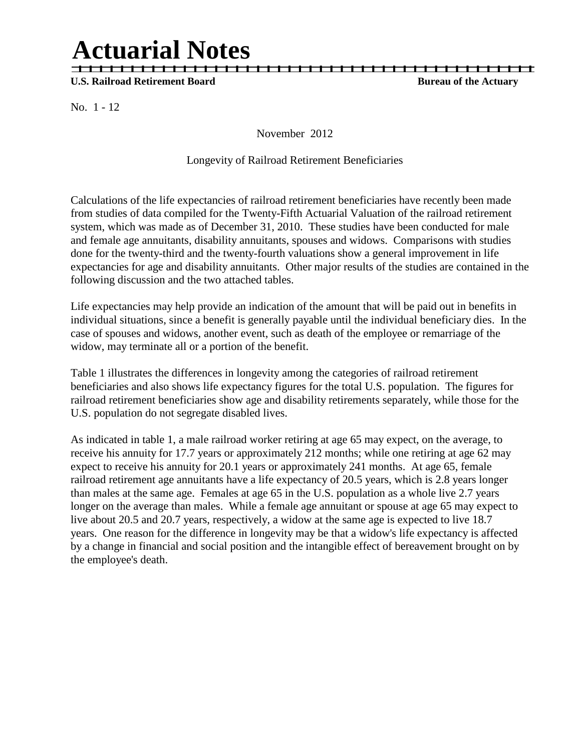# **Actuarial Notes**

 | | | | | | | | | | | | | | | | | | | | | | | | | | | | | | | | | | | | | | | | | | | | U.S. Railroad Retirement Board **Bureau of the Actuary** 

No. 1 - 12

November 2012

### Longevity of Railroad Retirement Beneficiaries

Calculations of the life expectancies of railroad retirement beneficiaries have recently been made from studies of data compiled for the Twenty-Fifth Actuarial Valuation of the railroad retirement system, which was made as of December 31, 2010. These studies have been conducted for male and female age annuitants, disability annuitants, spouses and widows. Comparisons with studies done for the twenty-third and the twenty-fourth valuations show a general improvement in life expectancies for age and disability annuitants. Other major results of the studies are contained in the following discussion and the two attached tables.

Life expectancies may help provide an indication of the amount that will be paid out in benefits in individual situations, since a benefit is generally payable until the individual beneficiary dies. In the case of spouses and widows, another event, such as death of the employee or remarriage of the widow, may terminate all or a portion of the benefit.

Table 1 illustrates the differences in longevity among the categories of railroad retirement beneficiaries and also shows life expectancy figures for the total U.S. population. The figures for railroad retirement beneficiaries show age and disability retirements separately, while those for the U.S. population do not segregate disabled lives.

As indicated in table 1, a male railroad worker retiring at age 65 may expect, on the average, to receive his annuity for 17.7 years or approximately 212 months; while one retiring at age 62 may expect to receive his annuity for 20.1 years or approximately 241 months. At age 65, female railroad retirement age annuitants have a life expectancy of 20.5 years, which is 2.8 years longer than males at the same age. Females at age 65 in the U.S. population as a whole live 2.7 years longer on the average than males. While a female age annuitant or spouse at age 65 may expect to live about 20.5 and 20.7 years, respectively, a widow at the same age is expected to live 18.7 years. One reason for the difference in longevity may be that a widow's life expectancy is affected by a change in financial and social position and the intangible effect of bereavement brought on by the employee's death.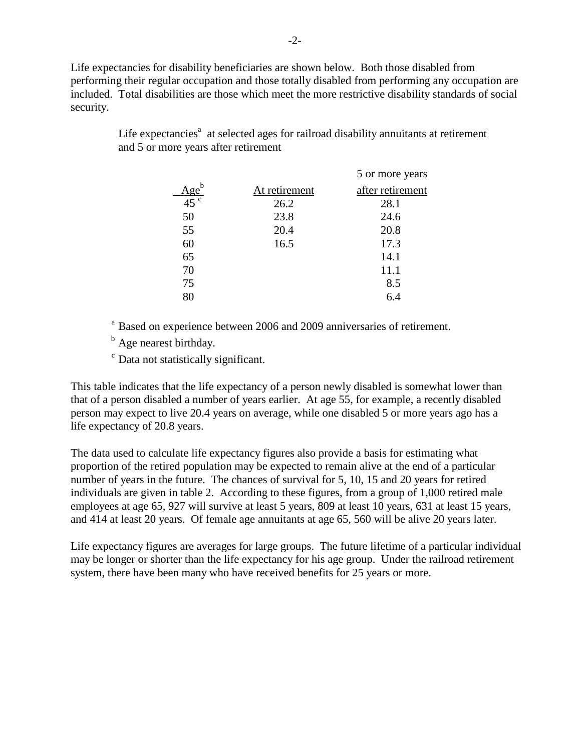Life expectancies for disability beneficiaries are shown below. Both those disabled from performing their regular occupation and those totally disabled from performing any occupation are included. Total disabilities are those which meet the more restrictive disability standards of social security.

> Life expectancies<sup>a</sup> at selected ages for railroad disability annuitants at retirement and 5 or more years after retirement

|               | 5 or more years  |
|---------------|------------------|
| At retirement | after retirement |
| 26.2          | 28.1             |
| 23.8          | 24.6             |
| 20.4          | 20.8             |
| 16.5          | 17.3             |
|               | 14.1             |
|               | 11.1             |
|               | 8.5              |
|               | 64               |
|               |                  |

<sup>a</sup> Based on experience between 2006 and 2009 anniversaries of retirement.

<sup>b</sup> Age nearest birthday.

<sup>c</sup> Data not statistically significant.

This table indicates that the life expectancy of a person newly disabled is somewhat lower than that of a person disabled a number of years earlier. At age 55, for example, a recently disabled person may expect to live 20.4 years on average, while one disabled 5 or more years ago has a life expectancy of 20.8 years.

The data used to calculate life expectancy figures also provide a basis for estimating what proportion of the retired population may be expected to remain alive at the end of a particular number of years in the future. The chances of survival for 5, 10, 15 and 20 years for retired individuals are given in table 2. According to these figures, from a group of 1,000 retired male employees at age 65, 927 will survive at least 5 years, 809 at least 10 years, 631 at least 15 years, and 414 at least 20 years. Of female age annuitants at age 65, 560 will be alive 20 years later.

Life expectancy figures are averages for large groups. The future lifetime of a particular individual may be longer or shorter than the life expectancy for his age group. Under the railroad retirement system, there have been many who have received benefits for 25 years or more.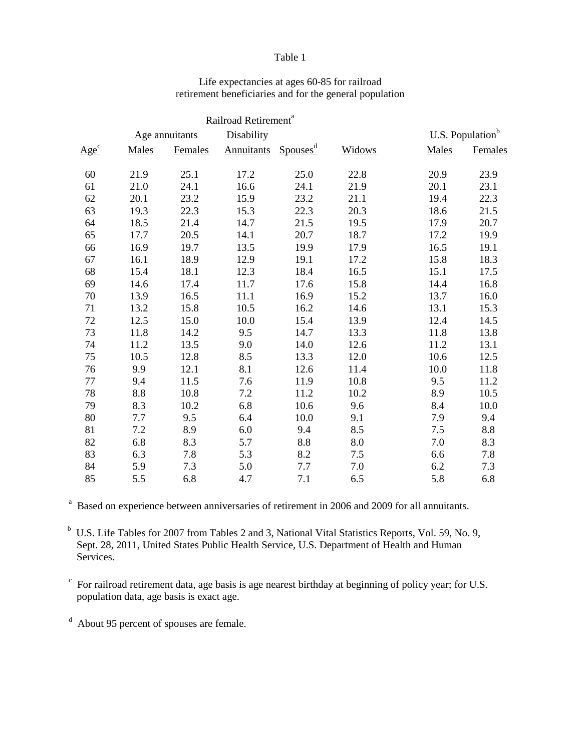#### Table 1

|                  |       |                | Railroad Retirement <sup>a</sup> |                      |        |                              |         |
|------------------|-------|----------------|----------------------------------|----------------------|--------|------------------------------|---------|
|                  |       | Age annuitants | Disability                       |                      |        | U.S. Population <sup>b</sup> |         |
| Age <sup>c</sup> | Males | Females        | <b>Annuitants</b>                | Spouses <sup>d</sup> | Widows | Males                        | Females |
| 60               | 21.9  | 25.1           | 17.2                             | 25.0                 | 22.8   | 20.9                         | 23.9    |
| 61               | 21.0  | 24.1           | 16.6                             | 24.1                 | 21.9   | 20.1                         | 23.1    |
| 62               | 20.1  | 23.2           | 15.9                             | 23.2                 | 21.1   | 19.4                         | 22.3    |
| 63               | 19.3  | 22.3           | 15.3                             | 22.3                 | 20.3   | 18.6                         | 21.5    |
| 64               | 18.5  | 21.4           | 14.7                             | 21.5                 | 19.5   | 17.9                         | 20.7    |
| 65               | 17.7  | 20.5           | 14.1                             | 20.7                 | 18.7   | 17.2                         | 19.9    |
| 66               | 16.9  | 19.7           | 13.5                             | 19.9                 | 17.9   | 16.5                         | 19.1    |
| 67               | 16.1  | 18.9           | 12.9                             | 19.1                 | 17.2   | 15.8                         | 18.3    |
| 68               | 15.4  | 18.1           | 12.3                             | 18.4                 | 16.5   | 15.1                         | 17.5    |
| 69               | 14.6  | 17.4           | 11.7                             | 17.6                 | 15.8   | 14.4                         | 16.8    |
| 70               | 13.9  | 16.5           | 11.1                             | 16.9                 | 15.2   | 13.7                         | 16.0    |
| 71               | 13.2  | 15.8           | 10.5                             | 16.2                 | 14.6   | 13.1                         | 15.3    |
| 72               | 12.5  | 15.0           | 10.0                             | 15.4                 | 13.9   | 12.4                         | 14.5    |
| 73               | 11.8  | 14.2           | 9.5                              | 14.7                 | 13.3   | 11.8                         | 13.8    |
| 74               | 11.2  | 13.5           | 9.0                              | 14.0                 | 12.6   | 11.2                         | 13.1    |
| 75               | 10.5  | 12.8           | 8.5                              | 13.3                 | 12.0   | 10.6                         | 12.5    |
| 76               | 9.9   | 12.1           | 8.1                              | 12.6                 | 11.4   | 10.0                         | 11.8    |
| 77               | 9.4   | 11.5           | 7.6                              | 11.9                 | 10.8   | 9.5                          | 11.2    |
| 78               | 8.8   | 10.8           | 7.2                              | 11.2                 | 10.2   | 8.9                          | 10.5    |
| 79               | 8.3   | 10.2           | 6.8                              | 10.6                 | 9.6    | 8.4                          | 10.0    |
| 80               | 7.7   | 9.5            | 6.4                              | 10.0                 | 9.1    | 7.9                          | 9.4     |
| 81               | 7.2   | 8.9            | 6.0                              | 9.4                  | 8.5    | 7.5                          | 8.8     |
| 82               | 6.8   | 8.3            | 5.7                              | 8.8                  | 8.0    | 7.0                          | 8.3     |
| 83               | 6.3   | 7.8            | 5.3                              | 8.2                  | 7.5    | 6.6                          | 7.8     |
| 84               | 5.9   | 7.3            | 5.0                              | 7.7                  | 7.0    | 6.2                          | 7.3     |
| 85               | 5.5   | 6.8            | 4.7                              | 7.1                  | 6.5    | 5.8                          | 6.8     |

# Life expectancies at ages 60-85 for railroad retirement beneficiaries and for the general population

<sup>a</sup> Based on experience between anniversaries of retirement in 2006 and 2009 for all annuitants.

<sup>b</sup> U.S. Life Tables for 2007 from Tables 2 and 3, National Vital Statistics Reports, Vol. 59, No. 9, Sept. 28, 2011, United States Public Health Service, U.S. Department of Health and Human Services.

 $\epsilon$  For railroad retirement data, age basis is age nearest birthday at beginning of policy year; for U.S. population data, age basis is exact age.

<sup>d</sup> About 95 percent of spouses are female.